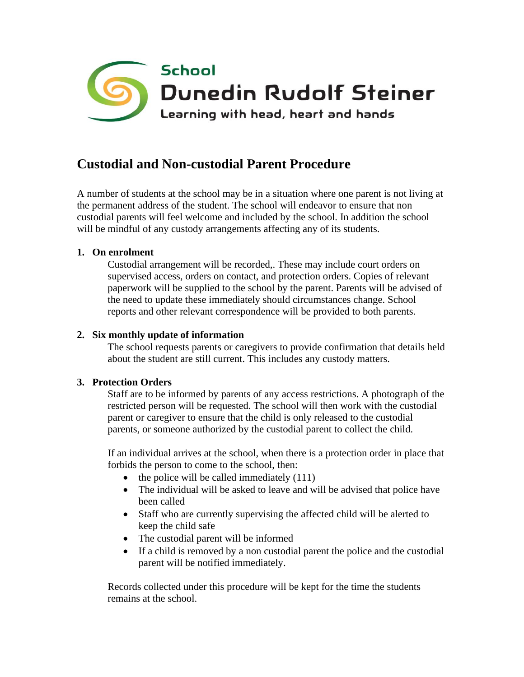

# **Custodial and Non-custodial Parent Procedure**

A number of students at the school may be in a situation where one parent is not living at the permanent address of the student. The school will endeavor to ensure that non custodial parents will feel welcome and included by the school. In addition the school will be mindful of any custody arrangements affecting any of its students.

## **1. On enrolment**

Custodial arrangement will be recorded,. These may include court orders on supervised access, orders on contact, and protection orders. Copies of relevant paperwork will be supplied to the school by the parent. Parents will be advised of the need to update these immediately should circumstances change. School reports and other relevant correspondence will be provided to both parents.

### **2. Six monthly update of information**

The school requests parents or caregivers to provide confirmation that details held about the student are still current. This includes any custody matters.

#### **3. Protection Orders**

Staff are to be informed by parents of any access restrictions. A photograph of the restricted person will be requested. The school will then work with the custodial parent or caregiver to ensure that the child is only released to the custodial parents, or someone authorized by the custodial parent to collect the child.

If an individual arrives at the school, when there is a protection order in place that forbids the person to come to the school, then:

- the police will be called immediately  $(111)$
- The individual will be asked to leave and will be advised that police have been called
- Staff who are currently supervising the affected child will be alerted to keep the child safe
- The custodial parent will be informed
- If a child is removed by a non custodial parent the police and the custodial parent will be notified immediately.

Records collected under this procedure will be kept for the time the students remains at the school.